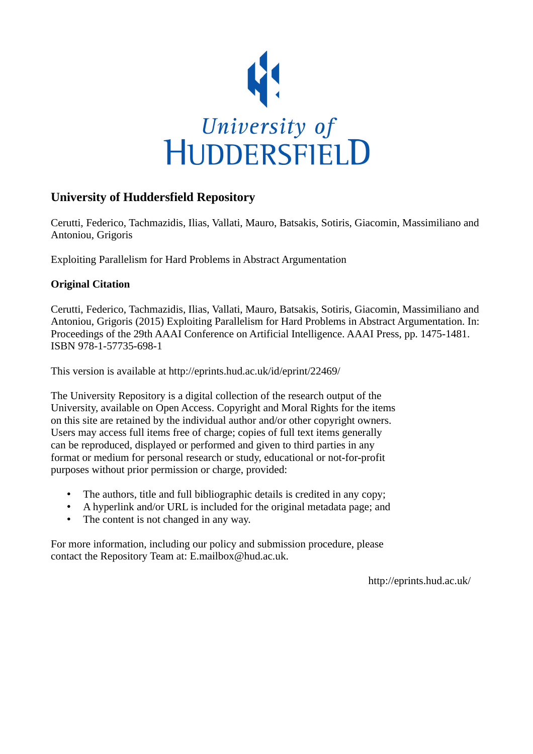

# **University of Huddersfield Repository**

Cerutti, Federico, Tachmazidis, Ilias, Vallati, Mauro, Batsakis, Sotiris, Giacomin, Massimiliano and Antoniou, Grigoris

Exploiting Parallelism for Hard Problems in Abstract Argumentation

# **Original Citation**

Cerutti, Federico, Tachmazidis, Ilias, Vallati, Mauro, Batsakis, Sotiris, Giacomin, Massimiliano and Antoniou, Grigoris (2015) Exploiting Parallelism for Hard Problems in Abstract Argumentation. In: Proceedings of the 29th AAAI Conference on Artificial Intelligence. AAAI Press, pp. 1475-1481. ISBN 978-1-57735-698-1

This version is available at http://eprints.hud.ac.uk/id/eprint/22469/

The University Repository is a digital collection of the research output of the University, available on Open Access. Copyright and Moral Rights for the items on this site are retained by the individual author and/or other copyright owners. Users may access full items free of charge; copies of full text items generally can be reproduced, displayed or performed and given to third parties in any format or medium for personal research or study, educational or not-for-profit purposes without prior permission or charge, provided:

- The authors, title and full bibliographic details is credited in any copy;
- A hyperlink and/or URL is included for the original metadata page; and
- The content is not changed in any way.

For more information, including our policy and submission procedure, please contact the Repository Team at: E.mailbox@hud.ac.uk.

http://eprints.hud.ac.uk/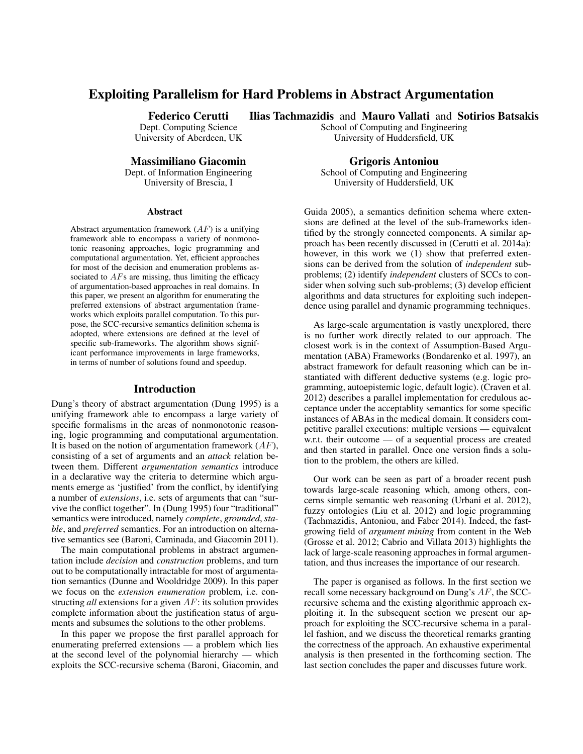# Exploiting Parallelism for Hard Problems in Abstract Argumentation

Federico Cerutti

Dept. Computing Science University of Aberdeen, UK

Massimiliano Giacomin

Dept. of Information Engineering University of Brescia, I

#### Abstract

Abstract argumentation framework  $(AF)$  is a unifying framework able to encompass a variety of nonmonotonic reasoning approaches, logic programming and computational argumentation. Yet, efficient approaches for most of the decision and enumeration problems associated to  $AFs$  are missing, thus limiting the efficacy of argumentation-based approaches in real domains. In this paper, we present an algorithm for enumerating the preferred extensions of abstract argumentation frameworks which exploits parallel computation. To this purpose, the SCC-recursive semantics definition schema is adopted, where extensions are defined at the level of specific sub-frameworks. The algorithm shows significant performance improvements in large frameworks, in terms of number of solutions found and speedup.

#### Introduction

Dung's theory of abstract argumentation (Dung 1995) is a unifying framework able to encompass a large variety of specific formalisms in the areas of nonmonotonic reasoning, logic programming and computational argumentation. It is based on the notion of argumentation framework  $(AF)$ , consisting of a set of arguments and an *attack* relation between them. Different *argumentation semantics* introduce in a declarative way the criteria to determine which arguments emerge as 'justified' from the conflict, by identifying a number of *extensions*, i.e. sets of arguments that can "survive the conflict together". In (Dung 1995) four "traditional" semantics were introduced, namely *complete*, *grounded*, *stable*, and *preferred* semantics. For an introduction on alternative semantics see (Baroni, Caminada, and Giacomin 2011).

The main computational problems in abstract argumentation include *decision* and *construction* problems, and turn out to be computationally intractable for most of argumentation semantics (Dunne and Wooldridge 2009). In this paper we focus on the *extension enumeration* problem, i.e. constructing *all* extensions for a given AF: its solution provides complete information about the justification status of arguments and subsumes the solutions to the other problems.

In this paper we propose the first parallel approach for enumerating preferred extensions — a problem which lies at the second level of the polynomial hierarchy — which exploits the SCC-recursive schema (Baroni, Giacomin, and

Ilias Tachmazidis and Mauro Vallati and Sotirios Batsakis School of Computing and Engineering

University of Huddersfield, UK

Grigoris Antoniou School of Computing and Engineering University of Huddersfield, UK

Guida 2005), a semantics definition schema where extensions are defined at the level of the sub-frameworks identified by the strongly connected components. A similar approach has been recently discussed in (Cerutti et al. 2014a): however, in this work we (1) show that preferred extensions can be derived from the solution of *independent* subproblems; (2) identify *independent* clusters of SCCs to consider when solving such sub-problems; (3) develop efficient algorithms and data structures for exploiting such independence using parallel and dynamic programming techniques.

As large-scale argumentation is vastly unexplored, there is no further work directly related to our approach. The closest work is in the context of Assumption-Based Argumentation (ABA) Frameworks (Bondarenko et al. 1997), an abstract framework for default reasoning which can be instantiated with different deductive systems (e.g. logic programming, autoepistemic logic, default logic). (Craven et al. 2012) describes a parallel implementation for credulous acceptance under the acceptablity semantics for some specific instances of ABAs in the medical domain. It considers competitive parallel executions: multiple versions — equivalent w.r.t. their outcome — of a sequential process are created and then started in parallel. Once one version finds a solution to the problem, the others are killed.

Our work can be seen as part of a broader recent push towards large-scale reasoning which, among others, concerns simple semantic web reasoning (Urbani et al. 2012), fuzzy ontologies (Liu et al. 2012) and logic programming (Tachmazidis, Antoniou, and Faber 2014). Indeed, the fastgrowing field of *argument mining* from content in the Web (Grosse et al. 2012; Cabrio and Villata 2013) highlights the lack of large-scale reasoning approaches in formal argumentation, and thus increases the importance of our research.

The paper is organised as follows. In the first section we recall some necessary background on Dung's AF, the SCCrecursive schema and the existing algorithmic approach exploiting it. In the subsequent section we present our approach for exploiting the SCC-recursive schema in a parallel fashion, and we discuss the theoretical remarks granting the correctness of the approach. An exhaustive experimental analysis is then presented in the forthcoming section. The last section concludes the paper and discusses future work.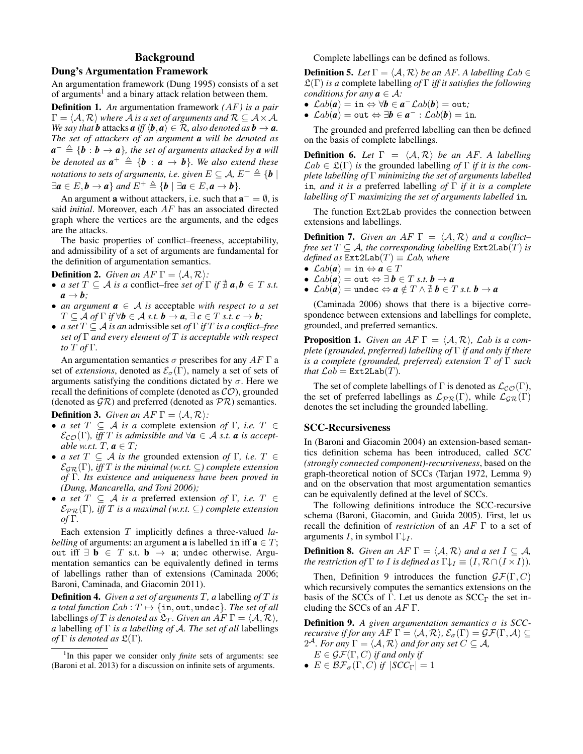## Background

### Dung's Argumentation Framework

An argumentation framework (Dung 1995) consists of a set of arguments<sup>1</sup> and a binary attack relation between them.

Definition 1. *An* argumentation framework *(*AF*) is a pair*  $\Gamma = \langle A, \mathcal{R} \rangle$  *where* A *is a set of arguments and*  $\mathcal{R} \subseteq A \times A$ *. We say that b* attacks *a iff*  $\langle \boldsymbol{b}, \boldsymbol{a} \rangle \in \mathcal{R}$ *, also denoted as*  $\boldsymbol{b} \to \boldsymbol{a}$ *. The set of attackers of an argument a will be denoted as*  $a^- \triangleq \{b : b \to a\}$ , the set of arguments attacked by **a** will *be denoted as*  $a^+ \triangleq \{b : a \rightarrow b\}$ *. We also extend these notations to sets of arguments, i.e. given*  $E \subseteq A$ ,  $E^- \triangleq {\mathbf{b} \mid \mathbf{b}}$  $\exists a \in E, b \rightarrow a$  *and*  $E^+ \triangleq \{b \mid \exists a \in E, a \rightarrow b\}.$ 

An argument **a** without attackers, i.e. such that  $\mathbf{a}^- = \emptyset$ , is said *initial*. Moreover, each AF has an associated directed graph where the vertices are the arguments, and the edges are the attacks.

The basic properties of conflict–freeness, acceptability, and admissibility of a set of arguments are fundamental for the definition of argumentation semantics.

**Definition 2.** *Given an*  $AF \Gamma = \langle A, \mathcal{R} \rangle$ *:* 

- *a set*  $T \subseteq A$  *is a* conflict–free *set* of  $\Gamma$  *if*  $\neq a$ ,  $b \in T$  *s.t.*  $a \rightarrow b$ ;
- *an argument*  $a \in A$  *is* acceptable *with respect to a set*  $T \subseteq \mathcal{A}$  *of*  $\Gamma$  *if*  $\forall \mathbf{b} \in \mathcal{A}$  *s.t.*  $\mathbf{b} \rightarrow \mathbf{a}$ ,  $\exists \mathbf{c} \in T$  *s.t.*  $\mathbf{c} \rightarrow \mathbf{b}$ ;
- *a set* T ⊆ A *is an* admissible set *of* Γ *if* T *is a conflict–free set of* Γ *and every element of* T *is acceptable with respect to* T *of* Γ*.*

An argumentation semantics  $\sigma$  prescribes for any  $AF \Gamma$  a set of *extensions*, denoted as  $\mathcal{E}_{\sigma}(\Gamma)$ , namely a set of sets of arguments satisfying the conditions dictated by  $\sigma$ . Here we recall the definitions of complete (denoted as  $CO$ ), grounded (denoted as  $\mathcal{G}\mathcal{R}$ ) and preferred (denoted as  $\mathcal{P}\mathcal{R}$ ) semantics.

**Definition 3.** *Given an AF*  $\Gamma = \langle A, \mathcal{R} \rangle$ *:* 

- *a set*  $T \subseteq A$  *is a* complete extension *of*  $\Gamma$ *, i.e.*  $T \in$  $\mathcal{E}_{\mathcal{CO}}(\Gamma)$ *, iff* T *is admissible and*  $\forall a \in \mathcal{A}$  *s.t. a is acceptable w.r.t.*  $T, a \in T$ ;
- *a set*  $T \subseteq A$  *is the* grounded extension *of*  $\Gamma$ *, i.e.*  $T \in$  $\mathcal{E}_{GR}(\Gamma)$ *, iff* T is the minimal (w.r.t.  $\subseteq$ ) complete extension *of* Γ*. Its existence and uniqueness have been proved in (Dung, Mancarella, and Toni 2006);*
- *a set*  $T \subseteq A$  *is a* preferred extension *of*  $\Gamma$ *, i.e.*  $T \in$  $\mathcal{E}_{PR}(\Gamma)$ *, iff* T *is a maximal* (w.r.t.  $\subseteq$ ) complete extension *of* Γ*.*

Each extension T implicitly defines a three-valued *labelling* of arguments: an argument **a** is labelled in iff  $\mathbf{a} \in T$ ; out iff  $\exists$  **b** ∈ T s.t. **b**  $\rightarrow$  **a**; undec otherwise. Argumentation semantics can be equivalently defined in terms of labellings rather than of extensions (Caminada 2006; Baroni, Caminada, and Giacomin 2011).

Definition 4. *Given a set of arguments* T*, a* labelling *of* T *is a total function*  $\mathcal{L}ab : T \mapsto \{\text{in}, \text{out}, \text{undec}\}.$  The set of all labellings *of* T *is denoted as*  $\mathfrak{L}_T$ *. Given an* AF  $\Gamma = \langle A, \mathcal{R} \rangle$ *, a* labelling *of* Γ *is a labelling of* A*. The set of all* labellings *of*  $\Gamma$  *is denoted as*  $\mathfrak{L}(\Gamma)$ *.* 

Complete labellings can be defined as follows.

**Definition 5.** Let  $\Gamma = \langle A, \mathcal{R} \rangle$  be an AF. A labelling  $\mathcal{L}ab \in$ L(Γ) *is a* complete labelling *of* Γ *iff it satisfies the following conditions for any*  $a \in \mathcal{A}$ *:* 

- $\mathcal{L}ab(a) = \text{in} \Leftrightarrow \forall b \in a^- \mathcal{L}ab(b) = \text{out};$
- $\bullet$   $\mathcal{L}ab(\bm{a}) = \mathtt{out} \Leftrightarrow \exists \bm{b} \in \bm{a}^- : \mathcal{L}ab(\bm{b}) = \mathtt{in}.$

The grounded and preferred labelling can then be defined on the basis of complete labellings.

**Definition 6.** Let  $\Gamma = \langle A, \mathcal{R} \rangle$  be an AF. A labelling  $\mathcal{L}ab \in \mathcal{L}(\Gamma)$  *is* the grounded labelling *of*  $\Gamma$  *if it is the complete labelling of* Γ *minimizing the set of arguments labelled* in*, and it is a* preferred labelling *of* Γ *if it is a complete labelling of* Γ *maximizing the set of arguments labelled* in*.*

The function Ext2Lab provides the connection between extensions and labellings.

**Definition 7.** Given an AF  $\Gamma = \langle A, \mathcal{R} \rangle$  and a conflict– *free set*  $T \subseteq A$ *, the corresponding labelling*  $Ext2Lab(T)$  *is defined as*  $Ext2Lab(T) \equiv \mathcal{L}ab$ *, where* 

- $\mathcal{L}ab(a) = \text{in} \Leftrightarrow a \in T$
- $\mathcal{L}ab(a) = \text{out} \Leftrightarrow \exists b \in T \text{ s.t. } b \rightarrow a$
- $\mathcal{L}ab(a) = \text{undec} \Leftrightarrow a \notin T \wedge \exists b \in T \text{ s.t. } b \rightarrow a$

(Caminada 2006) shows that there is a bijective correspondence between extensions and labellings for complete, grounded, and preferred semantics.

**Proposition 1.** *Given an AF*  $\Gamma = \langle A, \mathcal{R} \rangle$ *, Lab is a complete (grounded, preferred) labelling of* Γ *if and only if there is a complete (grounded, preferred) extension* T *of* Γ *such that*  $\mathcal{L}ab = \text{Ext2Lab}(T)$ *.* 

The set of complete labellings of Γ is denoted as  $\mathcal{L}_{\mathcal{CO}}(\Gamma)$ , the set of preferred labellings as  $\mathcal{L}_{PR}(\Gamma)$ , while  $\mathcal{L}_{GR}(\Gamma)$ denotes the set including the grounded labelling.

### SCC-Recursiveness

In (Baroni and Giacomin 2004) an extension-based semantics definition schema has been introduced, called *SCC (strongly connected component)-recursiveness*, based on the graph-theoretical notion of SCCs (Tarjan 1972, Lemma 9) and on the observation that most argumentation semantics can be equivalently defined at the level of SCCs.

The following definitions introduce the SCC-recursive schema (Baroni, Giacomin, and Guida 2005). First, let us recall the definition of *restriction* of an AF Γ to a set of arguments I, in symbol  $\Gamma\downarrow$ <sub>I</sub>.

**Definition 8.** *Given an AF*  $\Gamma = \langle A, \mathcal{R} \rangle$  *and a set*  $I \subseteq \mathcal{A}$ *, the restriction of*  $\Gamma$  *to*  $I$  *is defined as*  $\Gamma \downarrow_I \equiv (I, \mathcal{R} \cap (I \times I)).$ 

Then, Definition 9 introduces the function  $\mathcal{GF}(\Gamma, C)$ which recursively computes the semantics extensions on the basis of the SCCs of Γ. Let us denote as  $SCC<sub>Γ</sub>$  the set including the SCCs of an  $AF \Gamma$ .

Definition 9. *A given argumentation semantics* σ *is SCCrecursive if for any*  $AF \Gamma = \langle A, R \rangle$ ,  $\mathcal{E}_{\sigma}(\Gamma) = \mathcal{GF}(\Gamma, \mathcal{A}) \subseteq$  $2^{\mathcal{A}}$ *. For any*  $\Gamma = \langle \mathcal{A}, \mathcal{R} \rangle$  and for any set  $C \subseteq \mathcal{A}$ ,

- $E \in \mathcal{GF}(\Gamma, C)$  *if and only if*
- $E \in \mathcal{BF}_{\sigma}(\Gamma, C)$  *if*  $|SCC_{\Gamma}| = 1$

<sup>&</sup>lt;sup>1</sup>In this paper we consider only *finite* sets of arguments: see (Baroni et al. 2013) for a discussion on infinite sets of arguments.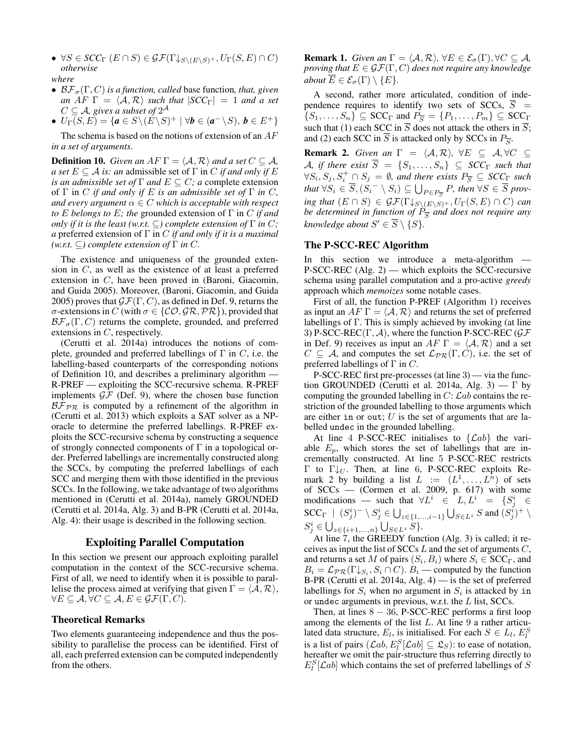- $\forall S \in SCC_{\Gamma}(E \cap S) \in \mathcal{GF}(\Gamma \downarrow_{S \setminus (E \setminus S)^+}, U_{\Gamma}(S, E) \cap C)$ *otherwise where*
- $\mathcal{BF}_{\sigma}(\Gamma, C)$  *is a function, called* base function, *that, given an*  $AF \Gamma = \langle A, R \rangle$  *such that*  $|SCC_{\Gamma}| = 1$  *and a set*  $C \subseteq \mathcal{A}$ , gives a subset of  $2^{\mathcal{A}}$
- $U_{\Gamma}(S, E) = {a \in S \backslash (E \backslash S)^+ \mid \forall b \in (a^- \backslash S), b \in E^+ }$

The schema is based on the notions of extension of an  $AF$ *in a set of arguments*.

**Definition 10.** *Given an AF*  $\Gamma = \langle A, \mathcal{R} \rangle$  *and a set*  $C \subseteq \mathcal{A}$ *, a set*  $E \subseteq A$  *is: an* admissible set of  $\Gamma$  in C *if and only if* E *is an admissible set of*  $\Gamma$  *and*  $E \subseteq C$ *; a complete extension* of  $\Gamma$  in C *if and only if* E *is an admissible set of*  $\Gamma$  *in* C, *and every argument*  $\alpha \in C$  *which is acceptable with respect to* E *belongs to* E*; the* grounded extension of Γ in C *if and only if it is the least (w.r.t.*  $\subseteq$ ) *complete extension of*  $\Gamma$  *in C*; *a* preferred extension of Γ in C *if and only if it is a maximal*  $(w.r.t. \subseteq)$  *complete extension of*  $\Gamma$  *in*  $C$ *.* 

The existence and uniqueness of the grounded extension in C, as well as the existence of at least a preferred extension in C, have been proved in (Baroni, Giacomin, and Guida 2005). Moreover, (Baroni, Giacomin, and Guida 2005) proves that  $\mathcal{GF}(\Gamma, C)$ , as defined in Def. 9, returns the σ-extensions in C (with  $\sigma \in \{CO, \mathcal{GR}, \mathcal{PR}\}\)$ , provided that  $\mathcal{BF}_{\sigma}(\Gamma, C)$  returns the complete, grounded, and preferred extensions in C, respectively.

(Cerutti et al. 2014a) introduces the notions of complete, grounded and preferred labellings of  $\Gamma$  in C, i.e. the labelling-based counterparts of the corresponding notions of Definition 10, and describes a preliminary algorithm — R-PREF — exploiting the SCC-recursive schema. R-PREF implements  $\mathcal{GF}$  (Def. 9), where the chosen base function  $B\bar{\mathcal{F}}_{PR}$  is computed by a refinement of the algorithm in (Cerutti et al. 2013) which exploits a SAT solver as a NPoracle to determine the preferred labellings. R-PREF exploits the SCC-recursive schema by constructing a sequence of strongly connected components of  $\Gamma$  in a topological order. Preferred labellings are incrementally constructed along the SCCs, by computing the preferred labellings of each SCC and merging them with those identified in the previous SCCs. In the following, we take advantage of two algorithms mentioned in (Cerutti et al. 2014a), namely GROUNDED (Cerutti et al. 2014a, Alg. 3) and B-PR (Cerutti et al. 2014a, Alg. 4): their usage is described in the following section.

#### Exploiting Parallel Computation

In this section we present our approach exploiting parallel computation in the context of the SCC-recursive schema. First of all, we need to identify when it is possible to parallelise the process aimed at verifying that given  $\Gamma = \langle A, \mathcal{R} \rangle$ ,  $\forall E \subseteq A, \forall C \subseteq A, E \in \mathcal{GF}(\Gamma, C).$ 

## Theoretical Remarks

Two elements guaranteeing independence and thus the possibility to parallelise the process can be identified. First of all, each preferred extension can be computed independently from the others.

**Remark 1.** *Given an*  $\Gamma = \langle A, \mathcal{R} \rangle$ ,  $\forall E \in \mathcal{E}_{\sigma}(\Gamma), \forall C \subseteq \mathcal{A}$ , *proving that*  $E \in \mathcal{GF}(\Gamma, C)$  *does not require any knowledge about*  $\overline{E} \in \mathcal{E}_{\sigma}(\Gamma) \setminus \{E\}.$ 

A second, rather more articulated, condition of independence requires to identify two sets of SCCs,  $\overline{S}$  =  $\{S_1, \ldots, S_n\} \subseteq \text{SCC}_{\Gamma}$  and  $P_{\overline{S}} = \{P_1, \ldots, P_m\} \subseteq \text{SCC}_{\Gamma}$ such that (1) each SCC in  $\overline{S}$  does not attack the others in  $\overline{S}$ ; and (2) each SCC in S is attacked only by SCCs in  $P_{\overline{S}}$ .

**Remark 2.** *Given an*  $\Gamma = \langle A, \mathcal{R} \rangle$ ,  $\forall E \subseteq A, \forall C \subseteq \mathcal{A}$ A, if there exist  $\overline{S} = \{S_1, \ldots, S_n\} \subseteq SCC_{\Gamma}$  such that  $\forall S_i, S_j, S_i^+ \cap S_j = \emptyset$ , and there exists  $P_{\overline{S}} \subseteq SCC_{\Gamma}$  such that  $\forall S_i \in \overline{S}, (S_i^- \setminus S_i) \subseteq \bigcup_{P \in P_{\overline{S}}} P$ , then  $\forall S \in \overline{S}$  prov*ing that*  $(E \cap S) \in \mathcal{GF}(\Gamma \downarrow_{S \setminus (E \setminus S)^+}, U_{\Gamma}(S, E) \cap C)$  *can be determined in function of*  $\hat{P}_{\overline{S}}$  *and does not require any knowledge about*  $S' \in \overline{S} \setminus \{S\}$ *.* 

## The P-SCC-REC Algorithm

In this section we introduce a meta-algorithm — P-SCC-REC (Alg. 2) — which exploits the SCC-recursive schema using parallel computation and a pro-active *greedy* approach which *memoizes* some notable cases.

First of all, the function P-PREF (Algorithm 1) receives as input an  $AF \Gamma = \langle A, R \rangle$  and returns the set of preferred labellings of Γ. This is simply achieved by invoking (at line 3) P-SCC-REC(Γ, A), where the function P-SCC-REC ( $\mathcal{GF}$ in Def. 9) receives as input an AF  $\Gamma = \langle A, \mathcal{R} \rangle$  and a set  $C \subseteq A$ , and computes the set  $\mathcal{L}_{PR}(\Gamma, C)$ , i.e. the set of preferred labellings of  $\Gamma$  in  $C$ .

P-SCC-REC first pre-processes (at line 3) — via the function GROUNDED (Cerutti et al. 2014a, Alg. 3) —  $\Gamma$  by computing the grounded labelling in  $C: \mathcal{L}ab$  contains the restriction of the grounded labelling to those arguments which are either in or out;  $U$  is the set of arguments that are labelled undec in the grounded labelling.

At line 4 P-SCC-REC initialises to  $\{\mathcal{L}ab\}$  the variable  $E_p$ , which stores the set of labellings that are incrementally constructed. At line 5 P-SCC-REC restricts Γ to Γ $\downarrow_U$ . Then, at line 6, P-SCC-REC exploits Remark 2 by building a list  $L := (L^1, \dots, L^n)$  of sets of  $SCCs$  — (Cormen et al. 2009, p. 617) with some modifications — such that  $\forall L^i \in L, L^i = \{S^i_j \in$ SCC<sub>Γ</sub> |  $(S_j^i)^- \setminus S_j^i \in \bigcup_{z \in \{1, ..., i-1\}} \bigcup_{S \in L^z} S$  and  $(S_j^i)^+ \setminus$  $S_j^i \in \bigcup_{z \in \{i+1,...,n\}} \bigcup_{S \in L^z} S$ .

At line  $\overline{7}$ , the GREEDY function (Alg. 3) is called; it receives as input the list of  $SCCs$  L and the set of arguments  $C$ , and returns a set M of pairs  $(S_i, B_i)$  where  $S_i \in {\rm SCC}_\Gamma$ , and  $B_i = \mathcal{L}_{PR}(\Gamma \downarrow_{S_i}, S_i \cap C)$ .  $B_i$  — computed by the function B-PR (Cerutti et al. 2014a, Alg. 4) — is the set of preferred labellings for  $S_i$  when no argument in  $S_i$  is attacked by in or undec arguments in previous, w.r.t. the L list, SCCs.

Then, at lines  $8 - 36$ , P-SCC-REC performs a first loop among the elements of the list  $L$ . At line  $9$  a rather articulated data structure,  $E_l$ , is initialised. For each  $S \in L_l$ ,  $E_l^S$ is a list of pairs  $(\mathcal{L}ab, E_l^S[\mathcal{L}ab] \subseteq \mathfrak{L}_S)$ : to ease of notation, hereafter we omit the pair-structure thus referring directly to  $E_l^S[{\cal L}ab]$  which contains the set of preferred labellings of S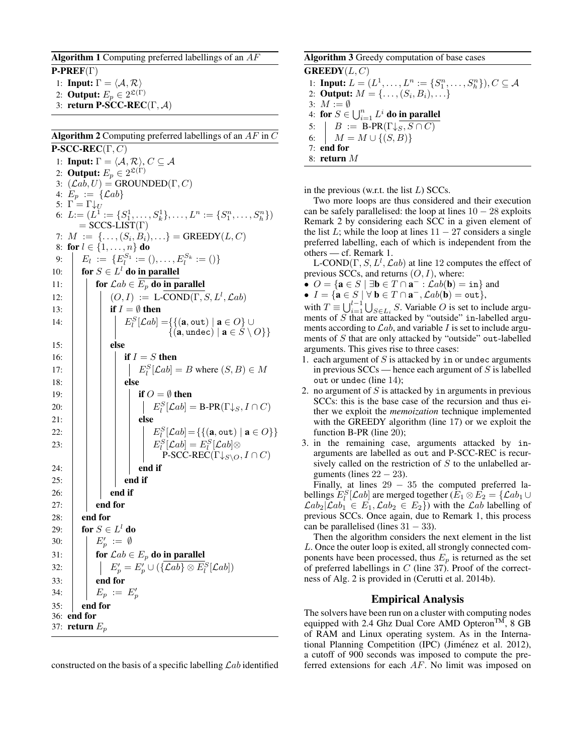### **Algorithm 1** Computing preferred labellings of an  $AF$

 $\text{P-PREF}(\Gamma)$ 

- 1: **Input:**  $\Gamma = \langle A, \mathcal{R} \rangle$
- 2: **Output:**  $E_p \in 2^{\mathfrak{L}(\Gamma)}$
- 3: return P-SCC-REC(Γ,  $\mathcal{A}$ )

## **Algorithm 2** Computing preferred labellings of an  $AF$  in  $C$

 $P\text{-}SCC\text{-}REC(\Gamma, C)$ 1: Input:  $\Gamma = \langle A, \mathcal{R} \rangle$ ,  $C \subseteq \mathcal{A}$ 2: **Output:**  $E_p \in 2^{\mathfrak{L}(\Gamma)}$ 3:  $(\mathcal{L}a\overline{b}, U) = \text{GROUNDED}(\Gamma, C)$ 4:  $E_p := \{ \mathcal{L}ab \}$ 5:  $\Gamma = \Gamma \downarrow_U$ 6:  $L = (L^1 := \{S_1^1, \ldots, S_k^1\}, \ldots, L^n := \{S_1^n, \ldots, S_k^n\})$  $=$  SCCS-LIST(Γ) 7:  $M := \{ \ldots, (S_i, B_i), \ldots \} = \text{GREEDY}(L, C)$ 8: for  $l \in \{1, \ldots, n\}$  do 9:  $E_l := \{E_l^{S_1} := 0, \ldots, E_l^{S_k} := 0\}$ 10:  $\int$  for  $S \in L^l$  do in parallel 11:  $\left| \right|$  for  $\mathcal{L}ab \in E_p$  do in parallel 12:  $| \cdot | \cdot | \cdot (O, I) := \text{L-COND}(\Gamma, S, L^l, \mathcal{L}ab)$ 13: **if**  $I = \emptyset$  then 14:  $\begin{array}{|c|c|c|} \hline \quad & \quad & E_l^S[\mathcal{L}ab]=\{\{(\mathbf{a},\hbox{\small out})\mid \mathbf{a}\in O\}\cup\ \hline \end{array}$  $\{(\mathbf{a}, \text{undec}) \mid \mathbf{a} \in S \setminus O\}\}$  $15:$   $\parallel$   $\parallel$  else 16:  $\|\cdot\|$  if  $I = S$  then 17:  $\Big| \Big| \Big| \Big| E_i^S[\mathcal{L}ab] = B$  where  $(S, B) \in M$ 18: | | | | else 19:  $\vert \vert \vert \vert$  if  $O = \emptyset$  then 20: E<sup>S</sup> l [Lab] = B-PR(Γ↓S, I ∩ C)  $21: | | | |$  else 22:  $\begin{array}{|c|c|c|c|}\n\hline\n\vdots & \vdots & \vdots & E^S_l[\mathcal{L}ab] = \{\{(\mathbf{a}, \mathtt{out}) \mid \mathbf{a} \in O\}\}\n\end{array}$ 23: E<sup>S</sup> l [Lab] = E<sup>S</sup> l [Lab]⊗ P-SCC-REC( $\Gamma\downarrow_{S\setminus O}, I\cap C$ )  $24: | | | | |$  end if  $25:$   $\parallel$   $\parallel$  end if  $26:$   $\parallel$   $\parallel$  end if 27:  $\parallel$  end for 28:  $\vert$  end for 29:  $\parallel$  for  $S \in L^l$  do 30:  $\begin{array}{|c|c|c|}\n\hline\n&E'_p:=\emptyset\n\end{array}$ 31:  $\int$  for  $\mathcal{L}ab \in E_p$  do in parallel 32:  $\left| \quad \right| \quad \left| \quad E'_p = E'_p \cup (\{\mathcal{L}ab\} \otimes E^S_l[\mathcal{L}ab]) \right|$  $33:$  | end for 34:  $\begin{array}{|c|c|c|} \hline \ \end{array} \begin{array}{|c|c|c|} \hline \ E_p &:=& E'_p \ \hline \end{array}$  $35:$  end for 36: end for 37: return  $E_p$ 

constructed on the basis of a specific labelling  $\mathcal{L}ab$  identified

## Algorithm 3 Greedy computation of base cases

 $$ 1: **Input:**  $L = (L^1, ..., L^n) := \{S_1^n, ..., S_h^n\}, C \subseteq \mathcal{A}$ 2: **Output:**  $M = \{ \ldots, (S_i, B_i), \ldots \}$ 3:  $M := \emptyset$ 4: for  $S\in \bigcup_{i=1}^n L^i$  do in parallel 5:  $\mid B := \text{B-PR}(\Gamma \downarrow S, S \cap C)$ 6:  $M = M \cup \{(S, B)\}\$ 7: end for 8: return M

in the previous (w.r.t. the list  $L$ ) SCCs.

Two more loops are thus considered and their execution can be safely parallelised: the loop at lines  $10 - 28$  exploits Remark 2 by considering each SCC in a given element of the list L; while the loop at lines  $11 - 27$  considers a single preferred labelling, each of which is independent from the others — cf. Remark 1.

L-COND(Γ,  $S, L^l, \mathcal{L}ab$ ) at line 12 computes the effect of previous SCCs, and returns  $(O, I)$ , where:

- $O = \{ \mathbf{a} \in S \mid \exists \mathbf{b} \in T \cap \mathbf{a}^- : \mathcal{L}ab(\mathbf{b}) = \texttt{in} \}$  and
- $I = {\mathbf{a} \in S \mid \forall \mathbf{b} \in T \cap \mathbf{a}^-, \mathcal{L}ab(\mathbf{b}) = \text{out}}$

with  $T \equiv \bigcup_{i=1}^{l-1} \bigcup_{S \in L_i} S$ . Variable O is set to include arguments of  $S$  that are attacked by "outside" in-labelled arguments according to  $\mathcal{L}ab$ , and variable I is set to include arguments of S that are only attacked by "outside" out-labelled arguments. This gives rise to three cases:

- 1. each argument of  $S$  is attacked by in or undec arguments in previous  $SCCs$  — hence each argument of S is labelled out or undec (line 14);
- 2. no argument of  $S$  is attacked by in arguments in previous SCCs: this is the base case of the recursion and thus either we exploit the *memoization* technique implemented with the GREEDY algorithm (line 17) or we exploit the function B-PR (line 20);
- 3. in the remaining case, arguments attacked by inarguments are labelled as out and P-SCC-REC is recursively called on the restriction of  $S$  to the unlabelled arguments (lines  $22 - 23$ ).

Finally, at lines  $29 - 35$  the computed preferred labellings  $E_l^S[{\cal L}ab]$  are merged together ( $\bar{E}_1\otimes\bar{E}_2=\{{\cal L}ab_1\cup\bar{E}_2\}$  $\mathcal{L}ab_2|\mathcal{L}ab_1 \in E_1, \mathcal{L}ab_2 \in E_2$ ) with the  $\mathcal{L}ab$  labelling of previous SCCs. Once again, due to Remark 1, this process can be parallelised (lines  $31 - 33$ ).

Then the algorithm considers the next element in the list L. Once the outer loop is exited, all strongly connected components have been processed, thus  $E_p$  is returned as the set of preferred labellings in  $C$  (line 37). Proof of the correctness of Alg. 2 is provided in (Cerutti et al. 2014b).

### Empirical Analysis

The solvers have been run on a cluster with computing nodes equipped with 2.4 Ghz Dual Core AMD Opteron<sup>TM</sup>, 8 GB of RAM and Linux operating system. As in the International Planning Competition (IPC) (Jiménez et al. 2012), a cutoff of 900 seconds was imposed to compute the preferred extensions for each AF. No limit was imposed on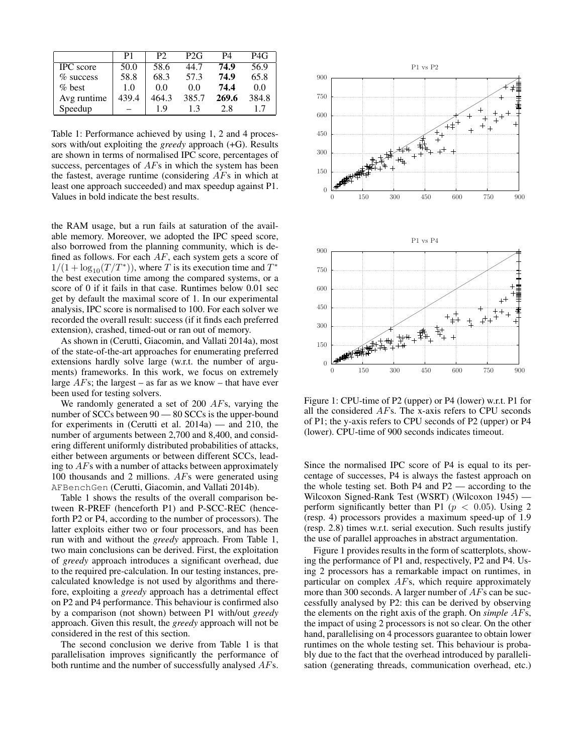|                  | P1    | P <sub>2</sub> | P <sub>2G</sub> | P4    | P4G   |
|------------------|-------|----------------|-----------------|-------|-------|
| <b>IPC</b> score | 50.0  | 58.6           | 44.7            | 74.9  | 56.9  |
| $\%$ success     | 58.8  | 68.3           | 57.3            | 74.9  | 65.8  |
| $%$ best         | 1.0   | 0.0            | 0.0             | 74.4  | 0.0   |
| Avg runtime      | 439.4 | 464.3          | 385.7           | 269.6 | 384.8 |
| Speedup          |       | 19             | 13              | 28    | 17    |

Table 1: Performance achieved by using 1, 2 and 4 processors with/out exploiting the *greedy* approach (+G). Results are shown in terms of normalised IPC score, percentages of success, percentages of AFs in which the system has been the fastest, average runtime (considering  $AFs$  in which at least one approach succeeded) and max speedup against P1. Values in bold indicate the best results.

the RAM usage, but a run fails at saturation of the available memory. Moreover, we adopted the IPC speed score, also borrowed from the planning community, which is defined as follows. For each  $AF$ , each system gets a score of  $1/(1 + \log_{10}(T/T^*))$ , where T is its execution time and  $T^*$ the best execution time among the compared systems, or a score of 0 if it fails in that case. Runtimes below 0.01 sec get by default the maximal score of 1. In our experimental analysis, IPC score is normalised to 100. For each solver we recorded the overall result: success (if it finds each preferred extension), crashed, timed-out or ran out of memory.

As shown in (Cerutti, Giacomin, and Vallati 2014a), most of the state-of-the-art approaches for enumerating preferred extensions hardly solve large (w.r.t. the number of arguments) frameworks. In this work, we focus on extremely large  $AFs$ ; the largest – as far as we know – that have ever been used for testing solvers.

We randomly generated a set of 200 AFs, varying the number of SCCs between  $90 - 80$  SCCs is the upper-bound for experiments in (Cerutti et al. 2014a) — and 210, the number of arguments between 2,700 and 8,400, and considering different uniformly distributed probabilities of attacks, either between arguments or between different SCCs, leading to AFs with a number of attacks between approximately 100 thousands and 2 millions. AFs were generated using AFBenchGen (Cerutti, Giacomin, and Vallati 2014b).

Table 1 shows the results of the overall comparison between R-PREF (henceforth P1) and P-SCC-REC (henceforth P2 or P4, according to the number of processors). The latter exploits either two or four processors, and has been run with and without the *greedy* approach. From Table 1, two main conclusions can be derived. First, the exploitation of *greedy* approach introduces a significant overhead, due to the required pre-calculation. In our testing instances, precalculated knowledge is not used by algorithms and therefore, exploiting a *greedy* approach has a detrimental effect on P2 and P4 performance. This behaviour is confirmed also by a comparison (not shown) between P1 with/out *greedy* approach. Given this result, the *greedy* approach will not be considered in the rest of this section.

The second conclusion we derive from Table 1 is that parallelisation improves significantly the performance of both runtime and the number of successfully analysed AFs.



Figure 1: CPU-time of P2 (upper) or P4 (lower) w.r.t. P1 for all the considered AFs. The x-axis refers to CPU seconds of P1; the y-axis refers to CPU seconds of P2 (upper) or P4 (lower). CPU-time of 900 seconds indicates timeout.

Since the normalised IPC score of P4 is equal to its percentage of successes, P4 is always the fastest approach on the whole testing set. Both P4 and P2 — according to the Wilcoxon Signed-Rank Test (WSRT) (Wilcoxon 1945) perform significantly better than P1 ( $p < 0.05$ ). Using 2 (resp. 4) processors provides a maximum speed-up of 1.9 (resp. 2.8) times w.r.t. serial execution. Such results justify the use of parallel approaches in abstract argumentation.

Figure 1 provides results in the form of scatterplots, showing the performance of P1 and, respectively, P2 and P4. Using 2 processors has a remarkable impact on runtimes, in particular on complex AFs, which require approximately more than 300 seconds. A larger number of AFs can be successfully analysed by P2: this can be derived by observing the elements on the right axis of the graph. On *simple* AFs, the impact of using 2 processors is not so clear. On the other hand, parallelising on 4 processors guarantee to obtain lower runtimes on the whole testing set. This behaviour is probably due to the fact that the overhead introduced by parallelisation (generating threads, communication overhead, etc.)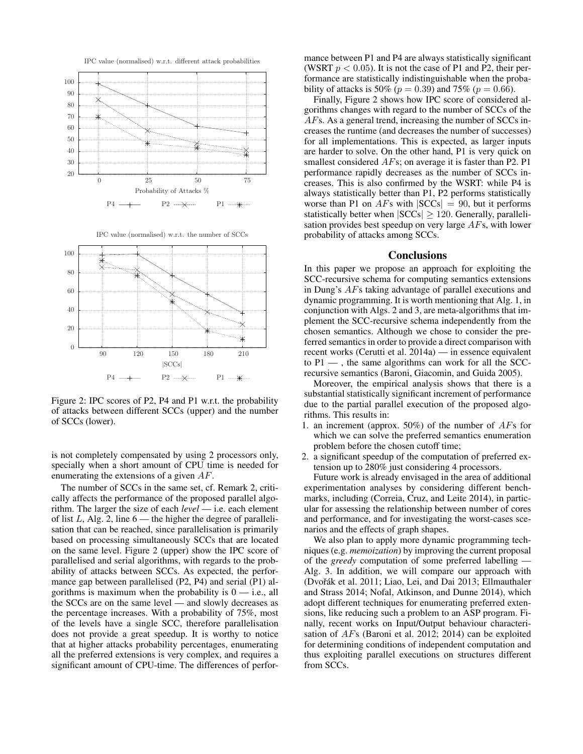

Figure 2: IPC scores of P2, P4 and P1 w.r.t. the probability of attacks between different SCCs (upper) and the number of SCCs (lower).

is not completely compensated by using 2 processors only, specially when a short amount of CPU time is needed for enumerating the extensions of a given AF.

The number of SCCs in the same set, cf. Remark 2, critically affects the performance of the proposed parallel algorithm. The larger the size of each *level* — i.e. each element of list  $L$ , Alg. 2, line  $6$  — the higher the degree of parallelisation that can be reached, since parallelisation is primarily based on processing simultaneously SCCs that are located on the same level. Figure 2 (upper) show the IPC score of parallelised and serial algorithms, with regards to the probability of attacks between SCCs. As expected, the performance gap between parallelised (P2, P4) and serial (P1) algorithms is maximum when the probability is  $0 - i.e.,$  all the SCCs are on the same level — and slowly decreases as the percentage increases. With a probability of 75%, most of the levels have a single SCC, therefore parallelisation does not provide a great speedup. It is worthy to notice that at higher attacks probability percentages, enumerating all the preferred extensions is very complex, and requires a significant amount of CPU-time. The differences of perfor-

mance between P1 and P4 are always statistically significant (WSRT  $p < 0.05$ ). It is not the case of P1 and P2, their performance are statistically indistinguishable when the probability of attacks is 50% ( $p = 0.39$ ) and 75% ( $p = 0.66$ ).

Finally, Figure 2 shows how IPC score of considered algorithms changes with regard to the number of SCCs of the AFs. As a general trend, increasing the number of SCCs increases the runtime (and decreases the number of successes) for all implementations. This is expected, as larger inputs are harder to solve. On the other hand, P1 is very quick on smallest considered AFs; on average it is faster than P2. P1 performance rapidly decreases as the number of SCCs increases. This is also confirmed by the WSRT: while P4 is always statistically better than P1, P2 performs statistically worse than P1 on  $AFs$  with  $|SCCs| = 90$ , but it performs statistically better when  $|SCCs| \ge 120$ . Generally, parallelisation provides best speedup on very large AFs, with lower probability of attacks among SCCs.

#### **Conclusions**

In this paper we propose an approach for exploiting the SCC-recursive schema for computing semantics extensions in Dung's AFs taking advantage of parallel executions and dynamic programming. It is worth mentioning that Alg. 1, in conjunction with Algs. 2 and 3, are meta-algorithms that implement the SCC-recursive schema independently from the chosen semantics. Although we chose to consider the preferred semantics in order to provide a direct comparison with recent works (Cerutti et al. 2014a) — in essence equivalent to  $P1 -$ , the same algorithms can work for all the SCCrecursive semantics (Baroni, Giacomin, and Guida 2005).

Moreover, the empirical analysis shows that there is a substantial statistically significant increment of performance due to the partial parallel execution of the proposed algorithms. This results in:

- 1. an increment (approx. 50%) of the number of  $AFs$  for which we can solve the preferred semantics enumeration problem before the chosen cutoff time;
- 2. a significant speedup of the computation of preferred extension up to 280% just considering 4 processors.

Future work is already envisaged in the area of additional experimentation analyses by considering different benchmarks, including (Correia, Cruz, and Leite 2014), in particular for assessing the relationship between number of cores and performance, and for investigating the worst-cases scenarios and the effects of graph shapes.

We also plan to apply more dynamic programming techniques (e.g. *memoization*) by improving the current proposal of the *greedy* computation of some preferred labelling — Alg. 3. In addition, we will compare our approach with (Dvořák et al. 2011; Liao, Lei, and Dai 2013; Ellmauthaler and Strass 2014; Nofal, Atkinson, and Dunne 2014), which adopt different techniques for enumerating preferred extensions, like reducing such a problem to an ASP program. Finally, recent works on Input/Output behaviour characterisation of AFs (Baroni et al. 2012; 2014) can be exploited for determining conditions of independent computation and thus exploiting parallel executions on structures different from SCCs.